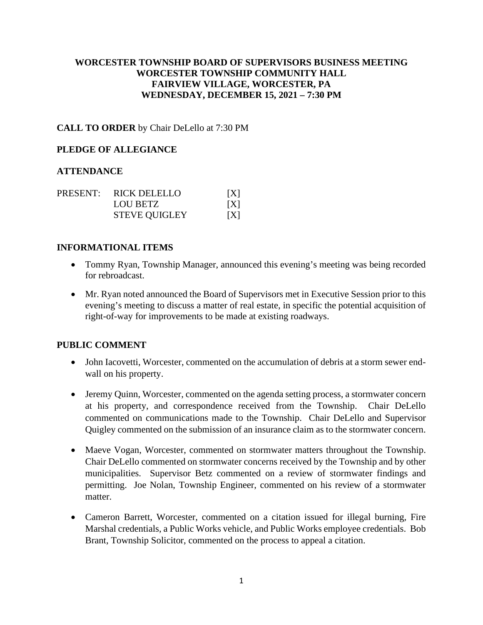## **WORCESTER TOWNSHIP BOARD OF SUPERVISORS BUSINESS MEETING WORCESTER TOWNSHIP COMMUNITY HALL FAIRVIEW VILLAGE, WORCESTER, PA WEDNESDAY, DECEMBER 15, 2021 – 7:30 PM**

#### **CALL TO ORDER** by Chair DeLello at 7:30 PM

#### **PLEDGE OF ALLEGIANCE**

#### **ATTENDANCE**

|  | PRESENT: RICK DELELLO | X |
|--|-----------------------|---|
|  | <b>LOU BETZ</b>       | X |
|  | <b>STEVE QUIGLEY</b>  | X |

#### **INFORMATIONAL ITEMS**

- Tommy Ryan, Township Manager, announced this evening's meeting was being recorded for rebroadcast.
- Mr. Ryan noted announced the Board of Supervisors met in Executive Session prior to this evening's meeting to discuss a matter of real estate, in specific the potential acquisition of right-of-way for improvements to be made at existing roadways.

## **PUBLIC COMMENT**

- John Iacovetti, Worcester, commented on the accumulation of debris at a storm sewer endwall on his property.
- Jeremy Quinn, Worcester, commented on the agenda setting process, a stormwater concern at his property, and correspondence received from the Township. Chair DeLello commented on communications made to the Township. Chair DeLello and Supervisor Quigley commented on the submission of an insurance claim as to the stormwater concern.
- Maeve Vogan, Worcester, commented on stormwater matters throughout the Township. Chair DeLello commented on stormwater concerns received by the Township and by other municipalities. Supervisor Betz commented on a review of stormwater findings and permitting. Joe Nolan, Township Engineer, commented on his review of a stormwater matter.
- Cameron Barrett, Worcester, commented on a citation issued for illegal burning, Fire Marshal credentials, a Public Works vehicle, and Public Works employee credentials. Bob Brant, Township Solicitor, commented on the process to appeal a citation.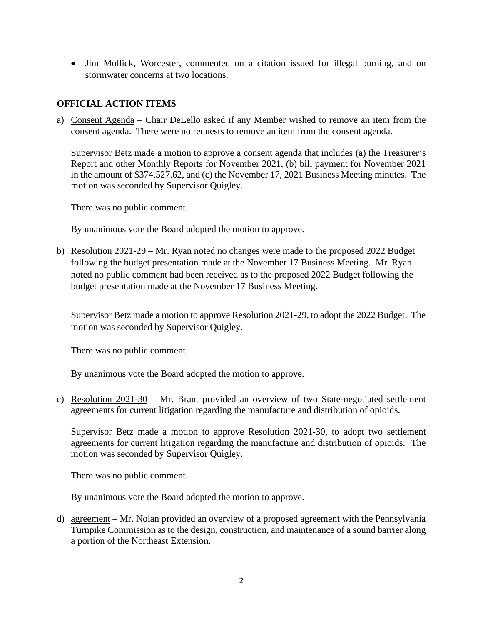• Jim Mollick, Worcester, commented on a citation issued for illegal burning, and on stormwater concerns at two locations.

# **OFFICIAL ACTION ITEMS**

a) Consent Agenda – Chair DeLello asked if any Member wished to remove an item from the consent agenda. There were no requests to remove an item from the consent agenda.

Supervisor Betz made a motion to approve a consent agenda that includes (a) the Treasurer's Report and other Monthly Reports for November 2021, (b) bill payment for November 2021 in the amount of \$374,527.62, and (c) the November 17, 2021 Business Meeting minutes. The motion was seconded by Supervisor Quigley.

There was no public comment.

By unanimous vote the Board adopted the motion to approve.

b) Resolution 2021-29 – Mr. Ryan noted no changes were made to the proposed 2022 Budget following the budget presentation made at the November 17 Business Meeting. Mr. Ryan noted no public comment had been received as to the proposed 2022 Budget following the budget presentation made at the November 17 Business Meeting.

Supervisor Betz made a motion to approve Resolution 2021-29, to adopt the 2022 Budget. The motion was seconded by Supervisor Quigley.

There was no public comment.

By unanimous vote the Board adopted the motion to approve.

c) Resolution 2021-30 – Mr. Brant provided an overview of two State-negotiated settlement agreements for current litigation regarding the manufacture and distribution of opioids.

Supervisor Betz made a motion to approve Resolution 2021-30, to adopt two settlement agreements for current litigation regarding the manufacture and distribution of opioids. The motion was seconded by Supervisor Quigley.

There was no public comment.

By unanimous vote the Board adopted the motion to approve.

d) agreement – Mr. Nolan provided an overview of a proposed agreement with the Pennsylvania Turnpike Commission as to the design, construction, and maintenance of a sound barrier along a portion of the Northeast Extension.